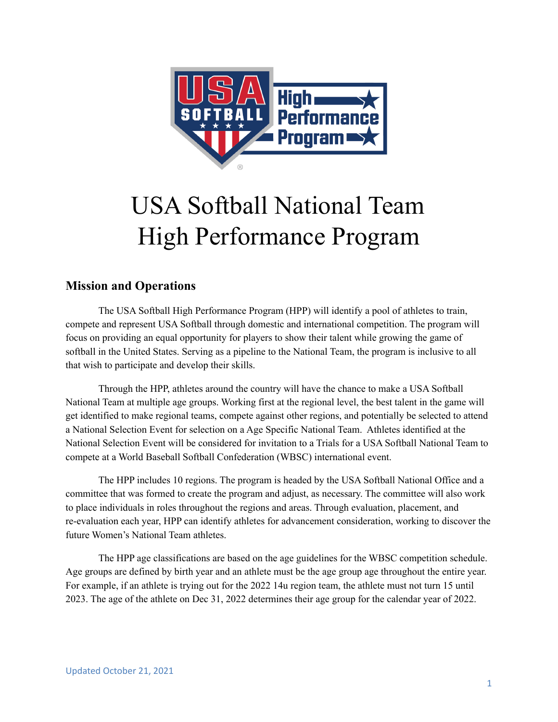

# USA Softball National Team High Performance Program

## **Mission and Operations**

The USA Softball High Performance Program (HPP) will identify a pool of athletes to train, compete and represent USA Softball through domestic and international competition. The program will focus on providing an equal opportunity for players to show their talent while growing the game of softball in the United States. Serving as a pipeline to the National Team, the program is inclusive to all that wish to participate and develop their skills.

Through the HPP, athletes around the country will have the chance to make a USA Softball National Team at multiple age groups. Working first at the regional level, the best talent in the game will get identified to make regional teams, compete against other regions, and potentially be selected to attend a National Selection Event for selection on a Age Specific National Team. Athletes identified at the National Selection Event will be considered for invitation to a Trials for a USA Softball National Team to compete at a World Baseball Softball Confederation (WBSC) international event.

The HPP includes 10 regions. The program is headed by the USA Softball National Office and a committee that was formed to create the program and adjust, as necessary. The committee will also work to place individuals in roles throughout the regions and areas. Through evaluation, placement, and re-evaluation each year, HPP can identify athletes for advancement consideration, working to discover the future Women's National Team athletes.

The HPP age classifications are based on the age guidelines for the WBSC competition schedule. Age groups are defined by birth year and an athlete must be the age group age throughout the entire year. For example, if an athlete is trying out for the 2022 14u region team, the athlete must not turn 15 until 2023. The age of the athlete on Dec 31, 2022 determines their age group for the calendar year of 2022.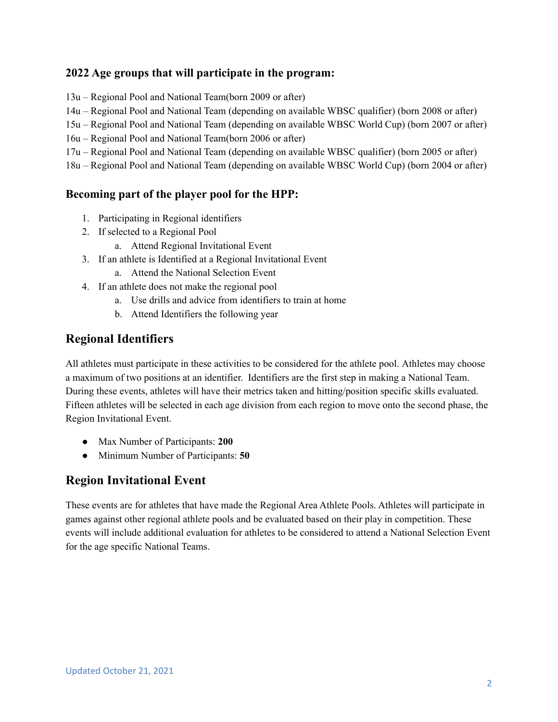#### **2022 Age groups that will participate in the program:**

13u – Regional Pool and National Team(born 2009 or after)

14u – Regional Pool and National Team (depending on available WBSC qualifier) (born 2008 or after)

15u – Regional Pool and National Team (depending on available WBSC World Cup) (born 2007 or after)

16u – Regional Pool and National Team(born 2006 or after)

17u – Regional Pool and National Team (depending on available WBSC qualifier) (born 2005 or after)

18u – Regional Pool and National Team (depending on available WBSC World Cup) (born 2004 or after)

#### **Becoming part of the player pool for the HPP:**

- 1. Participating in Regional identifiers
- 2. If selected to a Regional Pool
	- a. Attend Regional Invitational Event
- 3. If an athlete is Identified at a Regional Invitational Event
	- a. Attend the National Selection Event
- 4. If an athlete does not make the regional pool
	- a. Use drills and advice from identifiers to train at home
	- b. Attend Identifiers the following year

## **Regional Identifiers**

All athletes must participate in these activities to be considered for the athlete pool. Athletes may choose a maximum of two positions at an identifier. Identifiers are the first step in making a National Team. During these events, athletes will have their metrics taken and hitting/position specific skills evaluated. Fifteen athletes will be selected in each age division from each region to move onto the second phase, the Region Invitational Event.

- Max Number of Participants: **200**
- Minimum Number of Participants: **50**

# **Region Invitational Event**

These events are for athletes that have made the Regional Area Athlete Pools. Athletes will participate in games against other regional athlete pools and be evaluated based on their play in competition. These events will include additional evaluation for athletes to be considered to attend a National Selection Event for the age specific National Teams.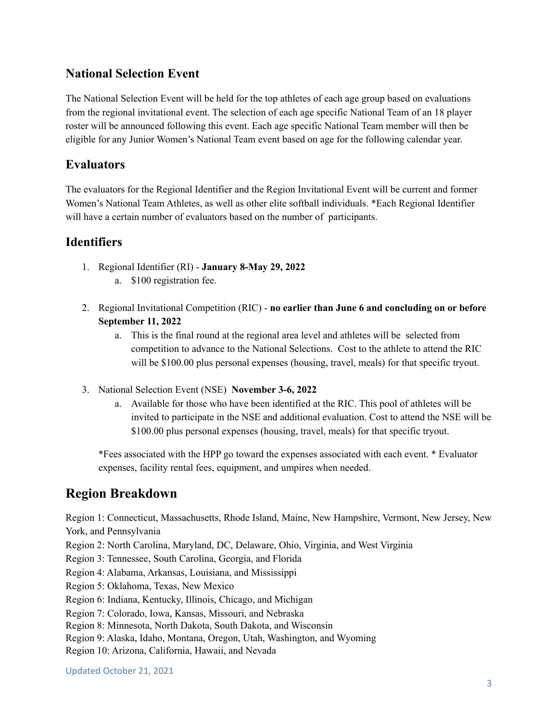## **National Selection Event**

The National Selection Event will be held for the top athletes of each age group based on evaluations from the regional invitational event. The selection of each age specific National Team of an 18 player roster will be announced following this event. Each age specific National Team member will then be eligible for any Junior Women's National Team event based on age for the following calendar year.

## **Evaluators**

The evaluators for the Regional Identifier and the Region Invitational Event will be current and former Women's National Team Athletes, as well as other elite softball individuals. \*Each Regional Identifier will have a certain number of evaluators based on the number of participants.

## **Identifiers**

- 1. Regional Identifier (RI) **January 8-May 29, 2022** a. \$100 registration fee.
- 2. Regional Invitational Competition (RIC) **no earlier than June 6 and concluding on or before September 11, 2022**
	- a. This is the final round at the regional area level and athletes will be selected from competition to advance to the National Selections. Cost to the athlete to attend the RIC will be \$100.00 plus personal expenses (housing, travel, meals) for that specific tryout.
- 3. National Selection Event (NSE) **November 3-6, 2022**
	- a. Available for those who have been identified at the RIC. This pool of athletes will be invited to participate in the NSE and additional evaluation. Cost to attend the NSE will be \$100.00 plus personal expenses (housing, travel, meals) for that specific tryout.

\*Fees associated with the HPP go toward the expenses associated with each event. \* Evaluator expenses, facility rental fees, equipment, and umpires when needed.

# **Region Breakdown**

Region 1: Connecticut, Massachusetts, Rhode Island, Maine, New Hampshire, Vermont, New Jersey, New York, and Pennsylvania

Region 2: North Carolina, Maryland, DC, Delaware, Ohio, Virginia, and West Virginia

Region 3: Tennessee, South Carolina, Georgia, and Florida

Region 4: Alabama, Arkansas, Louisiana, and Mississippi

Region 5: Oklahoma, Texas, New Mexico

Region 6: Indiana, Kentucky, Illinois, Chicago, and Michigan

Region 7: Colorado, Iowa, Kansas, Missouri, and Nebraska

Region 8: Minnesota, North Dakota, South Dakota, and Wisconsin

Region 9: Alaska, Idaho, Montana, Oregon, Utah, Washington, and Wyoming

Region 10: Arizona, California, Hawaii, and Nevada